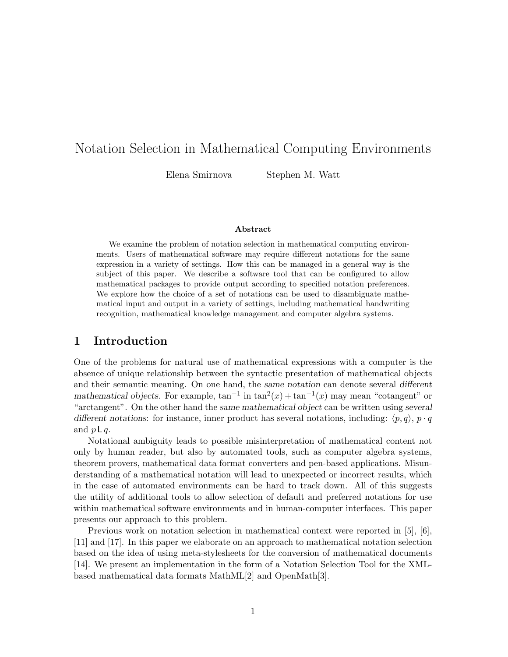# Notation Selection in Mathematical Computing Environments

Elena Smirnova Stephen M. Watt

#### Abstract

We examine the problem of notation selection in mathematical computing environments. Users of mathematical software may require different notations for the same expression in a variety of settings. How this can be managed in a general way is the subject of this paper. We describe a software tool that can be configured to allow mathematical packages to provide output according to specified notation preferences. We explore how the choice of a set of notations can be used to disambiguate mathematical input and output in a variety of settings, including mathematical handwriting recognition, mathematical knowledge management and computer algebra systems.

### 1 Introduction

One of the problems for natural use of mathematical expressions with a computer is the absence of unique relationship between the syntactic presentation of mathematical objects and their semantic meaning. On one hand, the same notation can denote several different mathematical objects. For example,  $tan^{-1}$  in  $tan^{2}(x) + tan^{-1}(x)$  may mean "cotangent" or "arctangent". On the other hand the same mathematical object can be written using several different notations: for instance, inner product has several notations, including:  $\langle p, q \rangle$ ,  $p \cdot q$ and  $p \mathsf{L} q$ .

Notational ambiguity leads to possible misinterpretation of mathematical content not only by human reader, but also by automated tools, such as computer algebra systems, theorem provers, mathematical data format converters and pen-based applications. Misunderstanding of a mathematical notation will lead to unexpected or incorrect results, which in the case of automated environments can be hard to track down. All of this suggests the utility of additional tools to allow selection of default and preferred notations for use within mathematical software environments and in human-computer interfaces. This paper presents our approach to this problem.

Previous work on notation selection in mathematical context were reported in [5], [6], [11] and [17]. In this paper we elaborate on an approach to mathematical notation selection based on the idea of using meta-stylesheets for the conversion of mathematical documents [14]. We present an implementation in the form of a Notation Selection Tool for the XMLbased mathematical data formats MathML[2] and OpenMath[3].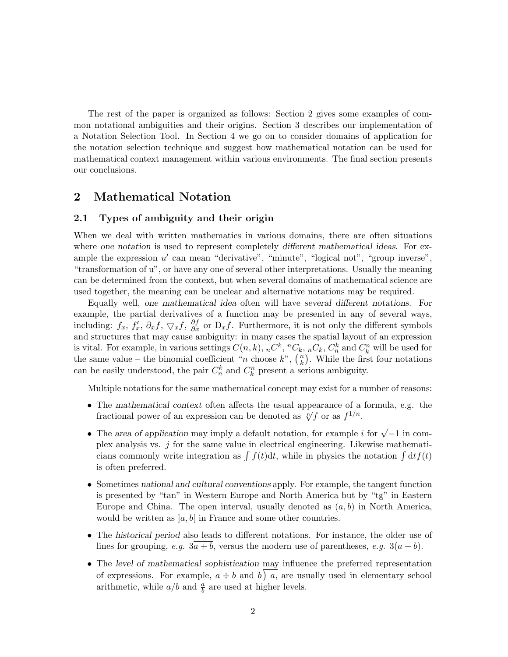The rest of the paper is organized as follows: Section 2 gives some examples of common notational ambiguities and their origins. Section 3 describes our implementation of a Notation Selection Tool. In Section 4 we go on to consider domains of application for the notation selection technique and suggest how mathematical notation can be used for mathematical context management within various environments. The final section presents our conclusions.

### 2 Mathematical Notation

#### 2.1 Types of ambiguity and their origin

When we deal with written mathematics in various domains, there are often situations where one notation is used to represent completely different mathematical ideas. For example the expression  $u'$  can mean "derivative", "minute", "logical not", "group inverse", "transformation of u", or have any one of several other interpretations. Usually the meaning can be determined from the context, but when several domains of mathematical science are used together, the meaning can be unclear and alternative notations may be required.

Equally well, one mathematical idea often will have several different notations. For example, the partial derivatives of a function may be presented in any of several ways, including:  $f_x$ ,  $f'_x$ ,  $\partial_x f$ ,  $\nabla_x f$ ,  $\frac{\partial f}{\partial x}$  or  $D_x f$ . Furthermore, it is not only the different symbols and structures that may cause ambiguity: in many cases the spatial layout of an expression is vital. For example, in various settings  $C(n, k)$ ,  ${}_{n}C^{k}$ ,  ${}^{n}C_{k}$ ,  ${}_{n}C_{k}$ ,  $C_{n}^{k}$  and  $C_{k}^{n}$  will be used for the same value – the binomial coefficient "*n* choose  $k$ ",  $\binom{n}{k}$  $\binom{n}{k}$ . While the first four notations can be easily understood, the pair  $C_n^k$  and  $C_k^n$  present a serious ambiguity.

Multiple notations for the same mathematical concept may exist for a number of reasons:

- The mathematical context often affects the usual appearance of a formula, e.g. the The *mamematical* context often affects the usual appearance of a fractional power of an expression can be denoted as  $\sqrt[n]{f}$  or as  $f^{1/n}$ .
- The area of application may imply a default notation, for example i for  $\sqrt{-1}$  in complex analysis vs.  $j$  for the same value in electrical engineering. Likewise mathematicians commonly write integration as  $\int f(t)dt$ , while in physics the notation  $\int dt f(t)$ is often preferred.
- Sometimes national and cultural conventions apply. For example, the tangent function is presented by "tan" in Western Europe and North America but by "tg" in Eastern Europe and China. The open interval, usually denoted as  $(a, b)$  in North America, would be written as  $[a, b]$  in France and some other countries.
- The historical period also leads to different notations. For instance, the older use of lines for grouping, e.g.  $3a + b$ , versus the modern use of parentheses, e.g.  $3(a + b)$ .
- The level of mathematical sophistication may influence the preferred representation of expressions. For example,  $a \div b$  and b) a, are usually used in elementary school arithmetic, while  $a/b$  and  $\frac{a}{b}$  are used at higher levels.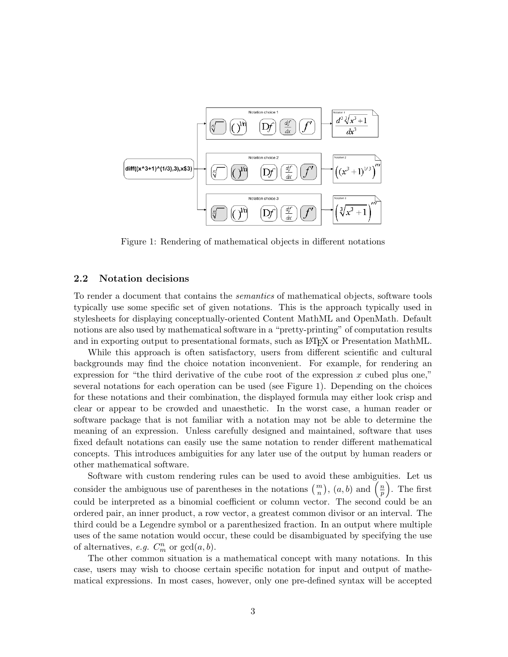

Figure 1: Rendering of mathematical objects in different notations

#### 2.2 Notation decisions

To render a document that contains the semantics of mathematical objects, software tools typically use some specific set of given notations. This is the approach typically used in stylesheets for displaying conceptually-oriented Content MathML and OpenMath. Default notions are also used by mathematical software in a "pretty-printing" of computation results and in exporting output to presentational formats, such as LAT<sub>EX</sub> or Presentation MathML.

While this approach is often satisfactory, users from different scientific and cultural backgrounds may find the choice notation inconvenient. For example, for rendering an expression for "the third derivative of the cube root of the expression  $x$  cubed plus one," several notations for each operation can be used (see Figure 1). Depending on the choices for these notations and their combination, the displayed formula may either look crisp and clear or appear to be crowded and unaesthetic. In the worst case, a human reader or software package that is not familiar with a notation may not be able to determine the meaning of an expression. Unless carefully designed and maintained, software that uses fixed default notations can easily use the same notation to render different mathematical concepts. This introduces ambiguities for any later use of the output by human readers or other mathematical software.

Software with custom rendering rules can be used to avoid these ambiguities. Let us consider the ambiguous use of parentheses in the notations  $\binom{m}{n}$ ,  $(a, b)$  and  $\left(\frac{n}{p}\right)$  $\frac{n}{p}$ . The first could be interpreted as a binomial coefficient or column vector. The second could be an ordered pair, an inner product, a row vector, a greatest common divisor or an interval. The third could be a Legendre symbol or a parenthesized fraction. In an output where multiple uses of the same notation would occur, these could be disambiguated by specifying the use of alternatives, *e.g.*  $C_m^n$  or  $gcd(a, b)$ .

The other common situation is a mathematical concept with many notations. In this case, users may wish to choose certain specific notation for input and output of mathematical expressions. In most cases, however, only one pre-defined syntax will be accepted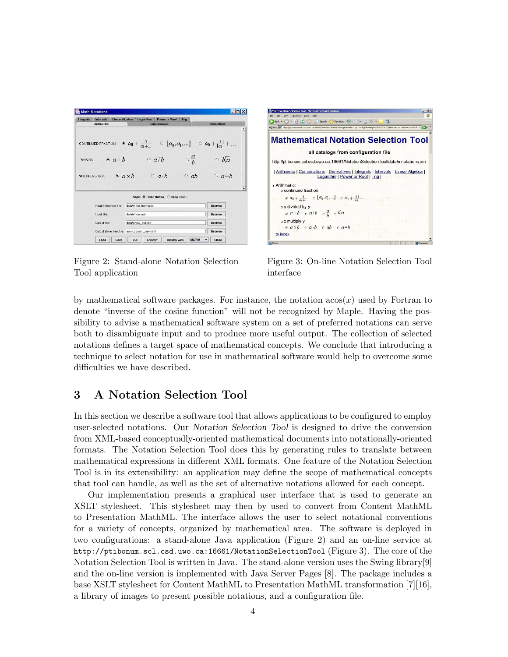| <b>Integrals</b> | <b>Intervals</b><br><b>Arithmetic</b> | <b>Linear Algebra</b>  |               | Logarithm          | <b>Power or Root</b><br>Combinations | Tria                              | <b>Derivatives</b>                                                                                                                                       |
|------------------|---------------------------------------|------------------------|---------------|--------------------|--------------------------------------|-----------------------------------|----------------------------------------------------------------------------------------------------------------------------------------------------------|
| DMSION:          |                                       | $\bullet$ $a \div b$   |               |                    |                                      |                                   | CONTINUED FRACTION: $\quad \circledast \; a_0 + \frac{1}{a_1 + } \quad \circledcirc \; [a_0, a_1, ] \quad \circlearrowright \; a_0 + \frac{1}{ a_1 } + $ |
|                  | MULTIPLICATION:                       | $\bullet$ $a \times b$ |               |                    | $\circ$ a/b<br>$\circ$ a.b           | $\circ \frac{a}{b}$<br>$\circ$ ab | $\circ$ bla<br>$a * b$                                                                                                                                   |
|                  |                                       |                        |               | data/mmlc2mmlp.xsl | Style: C Radio Button O Drop Down    |                                   | <b>Browse</b>                                                                                                                                            |
|                  | Input Stylesheet file:<br>Input file: |                        | data/show.xml |                    |                                      |                                   | <b>Browse</b>                                                                                                                                            |
|                  | Output file:                          |                        |               | data/show_out.xml  |                                      |                                   | <b>Browse</b>                                                                                                                                            |

Figure 2: Stand-alone Notation Selection Tool application



Figure 3: On-line Notation Selection Tool interface

by mathematical software packages. For instance, the notation  $a\cos(x)$  used by Fortran to denote "inverse of the cosine function" will not be recognized by Maple. Having the possibility to advise a mathematical software system on a set of preferred notations can serve both to disambiguate input and to produce more useful output. The collection of selected notations defines a target space of mathematical concepts. We conclude that introducing a technique to select notation for use in mathematical software would help to overcome some difficulties we have described.

## 3 A Notation Selection Tool

In this section we describe a software tool that allows applications to be configured to employ user-selected notations. Our Notation Selection Tool is designed to drive the conversion from XML-based conceptually-oriented mathematical documents into notationally-oriented formats. The Notation Selection Tool does this by generating rules to translate between mathematical expressions in different XML formats. One feature of the Notation Selection Tool is in its extensibility: an application may define the scope of mathematical concepts that tool can handle, as well as the set of alternative notations allowed for each concept.

Our implementation presents a graphical user interface that is used to generate an XSLT stylesheet. This stylesheet may then by used to convert from Content MathML to Presentation MathML. The interface allows the user to select notational conventions for a variety of concepts, organized by mathematical area. The software is deployed in two configurations: a stand-alone Java application (Figure 2) and an on-line service at http://ptibonum.scl.csd.uwo.ca:16661/NotationSelectionTool (Figure 3). The core of the Notation Selection Tool is written in Java. The stand-alone version uses the Swing library[9] and the on-line version is implemented with Java Server Pages [8]. The package includes a base XSLT stylesheet for Content MathML to Presentation MathML transformation [7][16], a library of images to present possible notations, and a configuration file.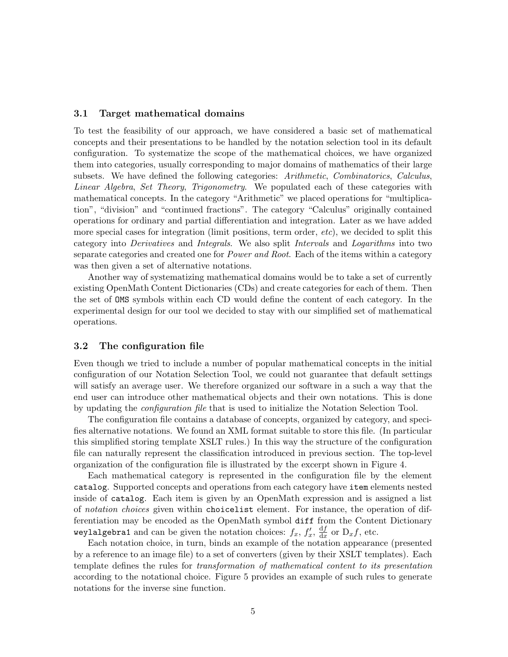#### 3.1 Target mathematical domains

To test the feasibility of our approach, we have considered a basic set of mathematical concepts and their presentations to be handled by the notation selection tool in its default configuration. To systematize the scope of the mathematical choices, we have organized them into categories, usually corresponding to major domains of mathematics of their large subsets. We have defined the following categories: Arithmetic, Combinatorics, Calculus, Linear Algebra, Set Theory, Trigonometry. We populated each of these categories with mathematical concepts. In the category "Arithmetic" we placed operations for "multiplication", "division" and "continued fractions". The category "Calculus" originally contained operations for ordinary and partial differentiation and integration. Later as we have added more special cases for integration (limit positions, term order, *etc*), we decided to split this category into Derivatives and Integrals. We also split Intervals and Logarithms into two separate categories and created one for *Power and Root*. Each of the items within a category was then given a set of alternative notations.

Another way of systematizing mathematical domains would be to take a set of currently existing OpenMath Content Dictionaries (CDs) and create categories for each of them. Then the set of OMS symbols within each CD would define the content of each category. In the experimental design for our tool we decided to stay with our simplified set of mathematical operations.

#### 3.2 The configuration file

Even though we tried to include a number of popular mathematical concepts in the initial configuration of our Notation Selection Tool, we could not guarantee that default settings will satisfy an average user. We therefore organized our software in a such a way that the end user can introduce other mathematical objects and their own notations. This is done by updating the configuration file that is used to initialize the Notation Selection Tool.

The configuration file contains a database of concepts, organized by category, and specifies alternative notations. We found an XML format suitable to store this file. (In particular this simplified storing template XSLT rules.) In this way the structure of the configuration file can naturally represent the classification introduced in previous section. The top-level organization of the configuration file is illustrated by the excerpt shown in Figure 4.

Each mathematical category is represented in the configuration file by the element catalog. Supported concepts and operations from each category have item elements nested inside of catalog. Each item is given by an OpenMath expression and is assigned a list of notation choices given within choicelist element. For instance, the operation of differentiation may be encoded as the OpenMath symbol diff from the Content Dictionary weylalgebra1 and can be given the notation choices:  $f_x, f'_x, \frac{df}{dx}$  $\frac{dJ}{dx}$  or  $D_x f$ , etc.

Each notation choice, in turn, binds an example of the notation appearance (presented by a reference to an image file) to a set of converters (given by their XSLT templates). Each template defines the rules for transformation of mathematical content to its presentation according to the notational choice. Figure 5 provides an example of such rules to generate notations for the inverse sine function.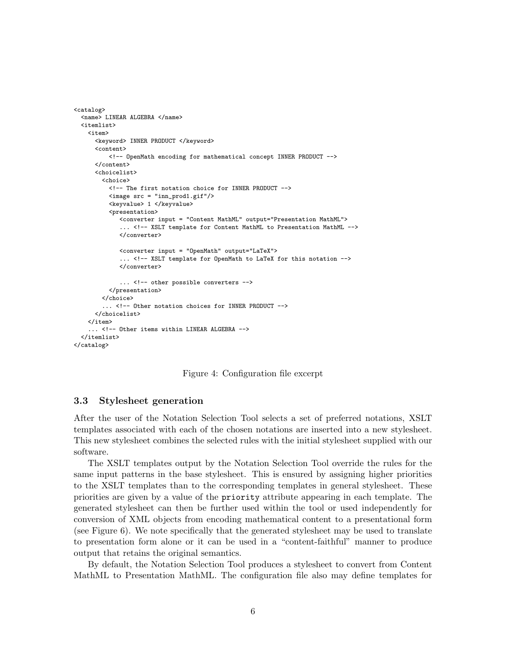```
<catalog>
  <name> LINEAR ALGEBRA </name>
  <itemlist>
    <item>
      <keyword> INNER PRODUCT </keyword>
      <content>
          <!-- OpenMath encoding for mathematical concept INNER PRODUCT -->
      </content>
      <choicelist>
        <choice>
          <!-- The first notation choice for INNER PRODUCT -->
          <image src = "inn_prod1.gif"/>
          <keyvalue> 1 </keyvalue>
          <presentation>
             <converter input = "Content MathML" output="Presentation MathML">
              .. <!-- XSLT template for Content MathML to Presentation MathML -->
             </converter>
             <converter input = "OpenMath" output="LaTeX">
             ... <!-- XSLT template for OpenMath to LaTeX for this notation -->
             </converter>
             ... <!-- other possible converters -->
          </presentation>
        </choice>
        ... <!-- Other notation choices for INNER PRODUCT -->
      </choicelist>
    </item>
    ... <!-- Other items within LINEAR ALGEBRA -->
  </itemlist>
</catalog>
```
Figure 4: Configuration file excerpt

#### 3.3 Stylesheet generation

After the user of the Notation Selection Tool selects a set of preferred notations, XSLT templates associated with each of the chosen notations are inserted into a new stylesheet. This new stylesheet combines the selected rules with the initial stylesheet supplied with our software.

The XSLT templates output by the Notation Selection Tool override the rules for the same input patterns in the base stylesheet. This is ensured by assigning higher priorities to the XSLT templates than to the corresponding templates in general stylesheet. These priorities are given by a value of the priority attribute appearing in each template. The generated stylesheet can then be further used within the tool or used independently for conversion of XML objects from encoding mathematical content to a presentational form (see Figure 6). We note specifically that the generated stylesheet may be used to translate to presentation form alone or it can be used in a "content-faithful" manner to produce output that retains the original semantics.

By default, the Notation Selection Tool produces a stylesheet to convert from Content MathML to Presentation MathML. The configuration file also may define templates for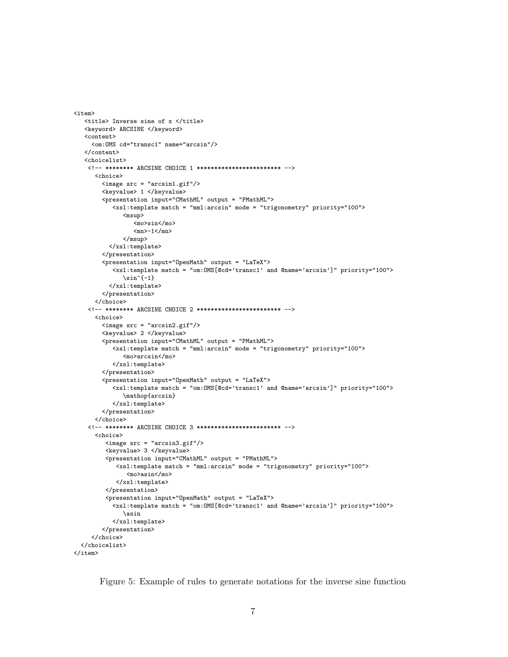```
<title> Inverse sine of x </title>
   <keyword> ARCSINE </keyword>
   <content>
     <om:OMS cd="transc1" name="arcsin"/>
   </content>
   <choicelist>
    <!-- ******** ARCSINE CHOICE 1 ************************ -->
      <choice>
        <image src = "arcsin1.gif"/>
        <keyvalue> 1 </keyvalue>
        <presentation input="CMathML" output = "PMathML">
           <xsl:template match = "mml:arcsin" mode = "trigonometry" priority="100">
              <msup>
                 <mo>sin</mo>
                 <sub>mn</sub>>-1</sub></>mn</sub>
              \langle/msup>
          </xsl:template>
        </presentation>
        <presentation input="OpenMath" output = "LaTeX">
           <xsl:template match = "om:OMS[@cd='transc1' and @name='arcsin']" priority="100">
              \sin^{-1}</xsl:template>
        </presentation>
      </choice>
    <!-- ******** ARCSINE CHOICE 2 ************************ -->
      <choice>
        <image src = "arcsin2.gif"/>
        <keyvalue> 2 </keyvalue>
        <presentation input="CMathML" output = "PMathML">
           <xsl:template match = "mml:arcsin" mode = "trigonometry" priority="100">
              <mo>arcsin</mo>
           </xsl:template>
        </presentation>
        <presentation input="OpenMath" output = "LaTeX">
           <xsl:template match = "om:OMS[@cd='transc1' and @name='arcsin']" priority="100">
              \mathop{arcsin}
           </xsl:template>
        </presentation>
      </choice>
    <!-- ******** ARCSINE CHOICE 3 ************************ -->
      <choice>
         <image src = "arcsin3.gif"/>
         <keyvalue> 3 </keyvalue>
         <presentation input="CMathML" output = "PMathML">
            <xsl:template match = "mml:arcsin" mode = "trigonometry" priority="100">
               <mo>asin</mo>
            </xsl:template>
         </presentation>
         <presentation input="OpenMath" output = "LaTeX">
           <xsl:template match = "om:OMS[@cd='transc1' and @name='arcsin']" priority="100">
              \asin
           </xsl:template>
        </presentation>
     </choice>
  </choicelist>
\langleitem\rangle
```
 $\left\langle$ item $\right\rangle$ 

Figure 5: Example of rules to generate notations for the inverse sine function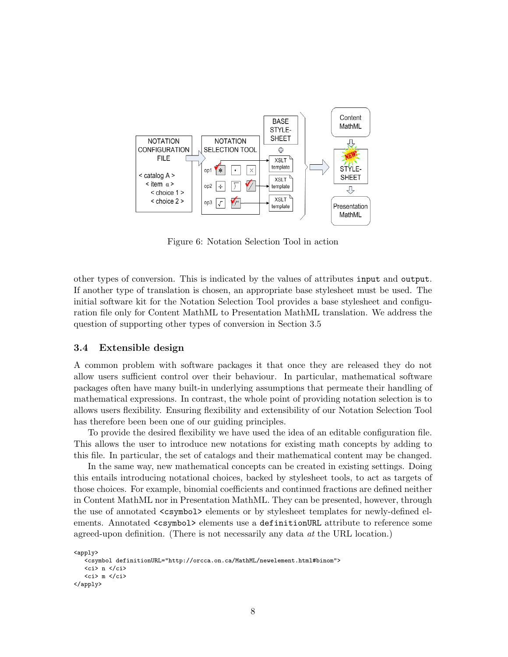

Figure 6: Notation Selection Tool in action

other types of conversion. This is indicated by the values of attributes input and output. If another type of translation is chosen, an appropriate base stylesheet must be used. The initial software kit for the Notation Selection Tool provides a base stylesheet and configuration file only for Content MathML to Presentation MathML translation. We address the question of supporting other types of conversion in Section 3.5

#### 3.4 Extensible design

A common problem with software packages it that once they are released they do not allow users sufficient control over their behaviour. In particular, mathematical software packages often have many built-in underlying assumptions that permeate their handling of mathematical expressions. In contrast, the whole point of providing notation selection is to allows users flexibility. Ensuring flexibility and extensibility of our Notation Selection Tool has therefore been been one of our guiding principles.

To provide the desired flexibility we have used the idea of an editable configuration file. This allows the user to introduce new notations for existing math concepts by adding to this file. In particular, the set of catalogs and their mathematical content may be changed.

In the same way, new mathematical concepts can be created in existing settings. Doing this entails introducing notational choices, backed by stylesheet tools, to act as targets of those choices. For example, binomial coefficients and continued fractions are defined neither in Content MathML nor in Presentation MathML. They can be presented, however, through the use of annotated  $\langle$ csymbol $\rangle$  elements or by stylesheet templates for newly-defined elements. Annotated <csymbol> elements use a definitionURL attribute to reference some agreed-upon definition. (There is not necessarily any data at the URL location.)

```
<apply>
   <csymbol definitionURL="http://orcca.on.ca/MathML/newelement.html#binom">
   \langleci> n \langle/ci>

</apply>
```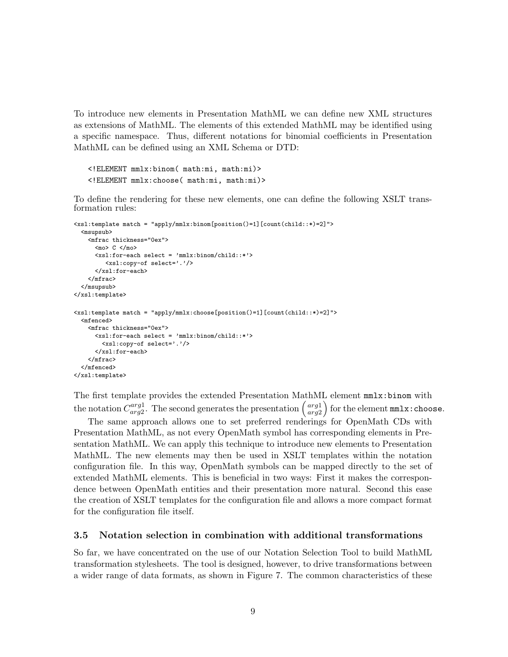To introduce new elements in Presentation MathML we can define new XML structures as extensions of MathML. The elements of this extended MathML may be identified using a specific namespace. Thus, different notations for binomial coefficients in Presentation MathML can be defined using an XML Schema or DTD:

```
<!ELEMENT mmlx:binom( math:mi, math:mi)>
<!ELEMENT mmlx:choose( math:mi, math:mi)>
```
To define the rendering for these new elements, one can define the following XSLT transformation rules:

```
<xsl:template match = "apply/mmlx:binom[position()=1][count(child::*)=2]">
  <msupsub>
    <mfrac thickness="0ex">
      <sub>mo</sub> > C < /mo</sub>
      <xsl:for-each select = 'mmlx:binom/child::*'>
         <xsl:copy-of select='.'/>
      </xsl:for-each>
    </mfrac>
  </msupsub>
</xsl:template>
<xsl:template match = "apply/mmlx:choose[position()=1][count(child::*)=2]">
  <mfenced>
    <mfrac thickness="0ex">
      <xsl:for-each select = 'mmlx:binom/child::*'>
        <xsl:copy-of select='.'/>
      </xsl:for-each>
    </mfrac>
  </mfenced>
</xsl:template>
```
The first template provides the extended Presentation MathML element mmlx:binom with the notation  $C_{ar\alpha}^{arg1}$  $\begin{pmatrix} arg1 \\ arg2 \end{pmatrix}$ . The second generates the presentation  $\begin{pmatrix} arg1 \\ arg2 \end{pmatrix}$ arg2 for the element mmlx:choose.

The same approach allows one to set preferred renderings for OpenMath CDs with Presentation MathML, as not every OpenMath symbol has corresponding elements in Presentation MathML. We can apply this technique to introduce new elements to Presentation MathML. The new elements may then be used in XSLT templates within the notation configuration file. In this way, OpenMath symbols can be mapped directly to the set of extended MathML elements. This is beneficial in two ways: First it makes the correspondence between OpenMath entities and their presentation more natural. Second this ease the creation of XSLT templates for the configuration file and allows a more compact format for the configuration file itself.

#### 3.5 Notation selection in combination with additional transformations

So far, we have concentrated on the use of our Notation Selection Tool to build MathML transformation stylesheets. The tool is designed, however, to drive transformations between a wider range of data formats, as shown in Figure 7. The common characteristics of these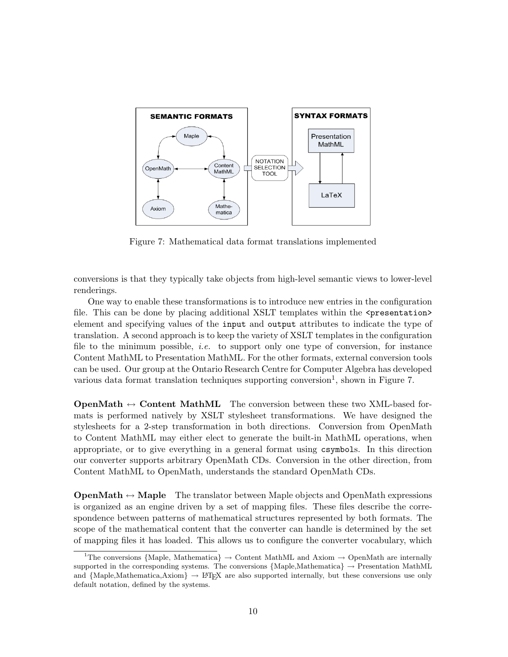

Figure 7: Mathematical data format translations implemented

conversions is that they typically take objects from high-level semantic views to lower-level renderings.

One way to enable these transformations is to introduce new entries in the configuration file. This can be done by placing additional XSLT templates within the  $\epsilon$  presentation> element and specifying values of the input and output attributes to indicate the type of translation. A second approach is to keep the variety of XSLT templates in the configuration file to the minimum possible, i.e. to support only one type of conversion, for instance Content MathML to Presentation MathML. For the other formats, external conversion tools can be used. Our group at the Ontario Research Centre for Computer Algebra has developed various data format translation techniques supporting conversion<sup>1</sup>, shown in Figure 7.

**OpenMath**  $\leftrightarrow$  Content MathML The conversion between these two XML-based formats is performed natively by XSLT stylesheet transformations. We have designed the stylesheets for a 2-step transformation in both directions. Conversion from OpenMath to Content MathML may either elect to generate the built-in MathML operations, when appropriate, or to give everything in a general format using csymbols. In this direction our converter supports arbitrary OpenMath CDs. Conversion in the other direction, from Content MathML to OpenMath, understands the standard OpenMath CDs.

**OpenMath**  $\leftrightarrow$  **Maple** The translator between Maple objects and OpenMath expressions is organized as an engine driven by a set of mapping files. These files describe the correspondence between patterns of mathematical structures represented by both formats. The scope of the mathematical content that the converter can handle is determined by the set of mapping files it has loaded. This allows us to configure the converter vocabulary, which

<sup>&</sup>lt;sup>1</sup>The conversions {Maple, Mathematica}  $\rightarrow$  Content MathML and Axiom  $\rightarrow$  OpenMath are internally supported in the corresponding systems. The conversions  $\{Mape,Mathematica\} \rightarrow$  Presentation MathML and  $\{Mape, Mathematica, Axiom\} \rightarrow \angle PTFX$  are also supported internally, but these conversions use only default notation, defined by the systems.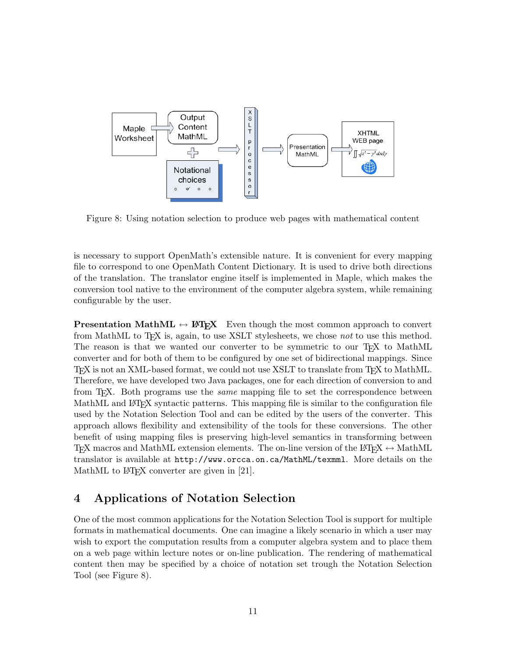

Figure 8: Using notation selection to produce web pages with mathematical content

is necessary to support OpenMath's extensible nature. It is convenient for every mapping file to correspond to one OpenMath Content Dictionary. It is used to drive both directions of the translation. The translator engine itself is implemented in Maple, which makes the conversion tool native to the environment of the computer algebra system, while remaining configurable by the user.

**Presentation MathML**  $\leftrightarrow$  **LATEX** Even though the most common approach to convert from MathML to T<sub>EX</sub> is, again, to use XSLT stylesheets, we chose not to use this method. The reason is that we wanted our converter to be symmetric to our T<sub>F</sub>X to MathML converter and for both of them to be configured by one set of bidirectional mappings. Since TEX is not an XML-based format, we could not use XSLT to translate from TEX to MathML. Therefore, we have developed two Java packages, one for each direction of conversion to and from TEX. Both programs use the same mapping file to set the correspondence between MathML and LAT<sub>E</sub>X syntactic patterns. This mapping file is similar to the configuration file used by the Notation Selection Tool and can be edited by the users of the converter. This approach allows flexibility and extensibility of the tools for these conversions. The other benefit of using mapping files is preserving high-level semantics in transforming between TEX macros and MathML extension elements. The on-line version of the LATEX  $\leftrightarrow$  MathML translator is available at http://www.orcca.on.ca/MathML/texmml. More details on the MathML to LAT<sub>F</sub>X converter are given in [21].

### 4 Applications of Notation Selection

One of the most common applications for the Notation Selection Tool is support for multiple formats in mathematical documents. One can imagine a likely scenario in which a user may wish to export the computation results from a computer algebra system and to place them on a web page within lecture notes or on-line publication. The rendering of mathematical content then may be specified by a choice of notation set trough the Notation Selection Tool (see Figure 8).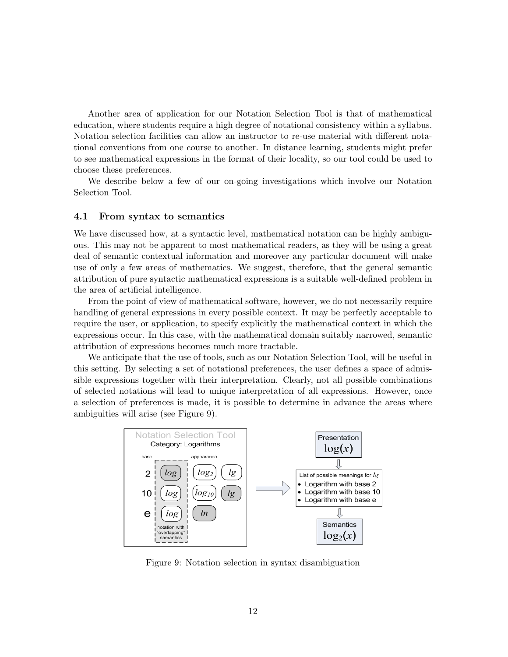Another area of application for our Notation Selection Tool is that of mathematical education, where students require a high degree of notational consistency within a syllabus. Notation selection facilities can allow an instructor to re-use material with different notational conventions from one course to another. In distance learning, students might prefer to see mathematical expressions in the format of their locality, so our tool could be used to choose these preferences.

We describe below a few of our on-going investigations which involve our Notation Selection Tool.

#### 4.1 From syntax to semantics

We have discussed how, at a syntactic level, mathematical notation can be highly ambiguous. This may not be apparent to most mathematical readers, as they will be using a great deal of semantic contextual information and moreover any particular document will make use of only a few areas of mathematics. We suggest, therefore, that the general semantic attribution of pure syntactic mathematical expressions is a suitable well-defined problem in the area of artificial intelligence.

From the point of view of mathematical software, however, we do not necessarily require handling of general expressions in every possible context. It may be perfectly acceptable to require the user, or application, to specify explicitly the mathematical context in which the expressions occur. In this case, with the mathematical domain suitably narrowed, semantic attribution of expressions becomes much more tractable.

We anticipate that the use of tools, such as our Notation Selection Tool, will be useful in this setting. By selecting a set of notational preferences, the user defines a space of admissible expressions together with their interpretation. Clearly, not all possible combinations of selected notations will lead to unique interpretation of all expressions. However, once a selection of preferences is made, it is possible to determine in advance the areas where ambiguities will arise (see Figure 9).



Figure 9: Notation selection in syntax disambiguation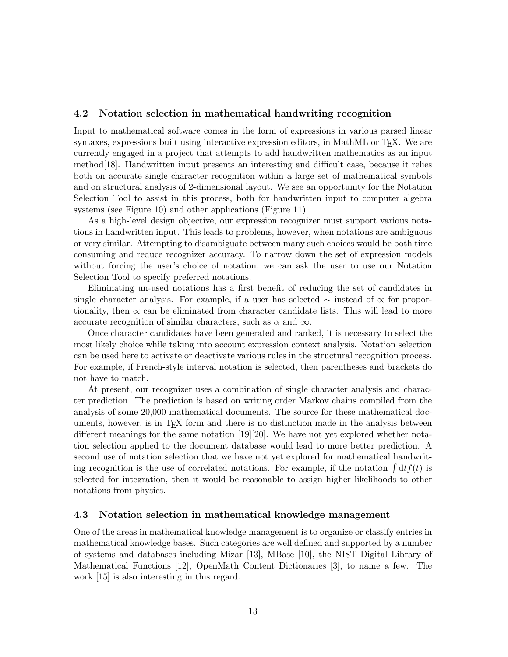### 4.2 Notation selection in mathematical handwriting recognition

Input to mathematical software comes in the form of expressions in various parsed linear syntaxes, expressions built using interactive expression editors, in MathML or T<sub>E</sub>X. We are currently engaged in a project that attempts to add handwritten mathematics as an input method[18]. Handwritten input presents an interesting and difficult case, because it relies both on accurate single character recognition within a large set of mathematical symbols and on structural analysis of 2-dimensional layout. We see an opportunity for the Notation Selection Tool to assist in this process, both for handwritten input to computer algebra systems (see Figure 10) and other applications (Figure 11).

As a high-level design objective, our expression recognizer must support various notations in handwritten input. This leads to problems, however, when notations are ambiguous or very similar. Attempting to disambiguate between many such choices would be both time consuming and reduce recognizer accuracy. To narrow down the set of expression models without forcing the user's choice of notation, we can ask the user to use our Notation Selection Tool to specify preferred notations.

Eliminating un-used notations has a first benefit of reducing the set of candidates in single character analysis. For example, if a user has selected  $\sim$  instead of  $\propto$  for proportionality, then  $\propto$  can be eliminated from character candidate lists. This will lead to more accurate recognition of similar characters, such as  $\alpha$  and  $\infty$ .

Once character candidates have been generated and ranked, it is necessary to select the most likely choice while taking into account expression context analysis. Notation selection can be used here to activate or deactivate various rules in the structural recognition process. For example, if French-style interval notation is selected, then parentheses and brackets do not have to match.

At present, our recognizer uses a combination of single character analysis and character prediction. The prediction is based on writing order Markov chains compiled from the analysis of some 20,000 mathematical documents. The source for these mathematical documents, however, is in T<sub>E</sub>X form and there is no distinction made in the analysis between different meanings for the same notation [19][20]. We have not yet explored whether notation selection applied to the document database would lead to more better prediction. A second use of notation selection that we have not yet explored for mathematical handwriting recognition is the use of correlated notations. For example, if the notation  $\int dt f(t)$  is selected for integration, then it would be reasonable to assign higher likelihoods to other notations from physics.

### 4.3 Notation selection in mathematical knowledge management

One of the areas in mathematical knowledge management is to organize or classify entries in mathematical knowledge bases. Such categories are well defined and supported by a number of systems and databases including Mizar [13], MBase [10], the NIST Digital Library of Mathematical Functions [12], OpenMath Content Dictionaries [3], to name a few. The work [15] is also interesting in this regard.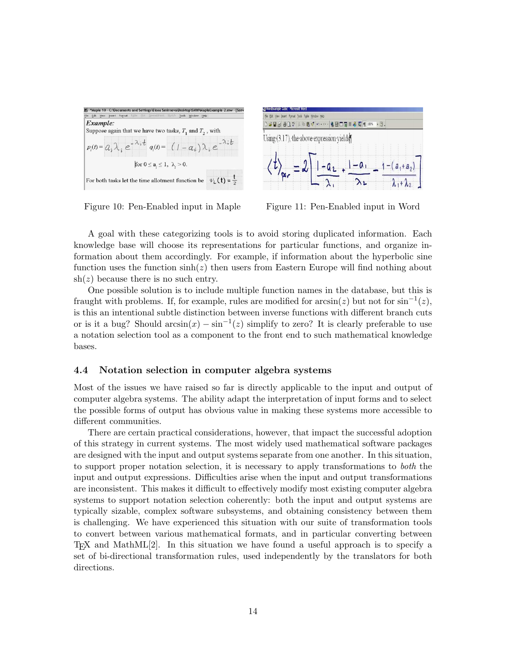



Figure 10: Pen-Enabled input in Maple Figure 11: Pen-Enabled input in Word

A goal with these categorizing tools is to avoid storing duplicated information. Each knowledge base will choose its representations for particular functions, and organize information about them accordingly. For example, if information about the hyperbolic sine function uses the function  $sinh(z)$  then users from Eastern Europe will find nothing about  $\sh(z)$  because there is no such entry.

One possible solution is to include multiple function names in the database, but this is fraught with problems. If, for example, rules are modified for  $arcsin(z)$  but not for  $sin^{-1}(z)$ , is this an intentional subtle distinction between inverse functions with different branch cuts or is it a bug? Should  $arcsin(x) - sin^{-1}(z)$  simplify to zero? It is clearly preferable to use a notation selection tool as a component to the front end to such mathematical knowledge bases.

#### 4.4 Notation selection in computer algebra systems

Most of the issues we have raised so far is directly applicable to the input and output of computer algebra systems. The ability adapt the interpretation of input forms and to select the possible forms of output has obvious value in making these systems more accessible to different communities.

There are certain practical considerations, however, that impact the successful adoption of this strategy in current systems. The most widely used mathematical software packages are designed with the input and output systems separate from one another. In this situation, to support proper notation selection, it is necessary to apply transformations to both the input and output expressions. Difficulties arise when the input and output transformations are inconsistent. This makes it difficult to effectively modify most existing computer algebra systems to support notation selection coherently: both the input and output systems are typically sizable, complex software subsystems, and obtaining consistency between them is challenging. We have experienced this situation with our suite of transformation tools to convert between various mathematical formats, and in particular converting between TEX and MathML[2]. In this situation we have found a useful approach is to specify a set of bi-directional transformation rules, used independently by the translators for both directions.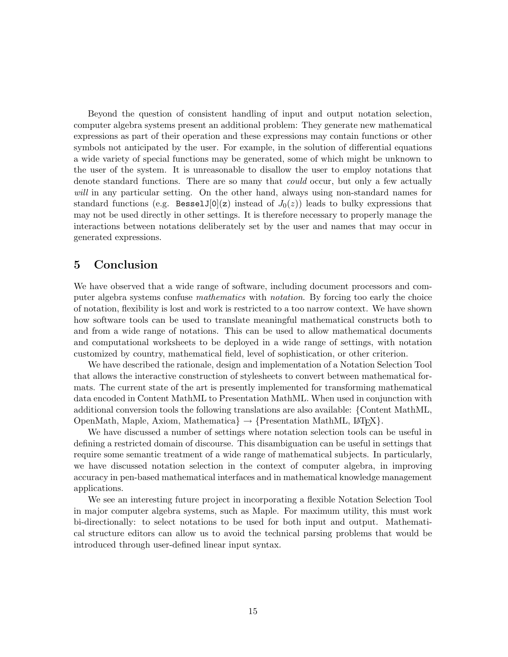Beyond the question of consistent handling of input and output notation selection, computer algebra systems present an additional problem: They generate new mathematical expressions as part of their operation and these expressions may contain functions or other symbols not anticipated by the user. For example, in the solution of differential equations a wide variety of special functions may be generated, some of which might be unknown to the user of the system. It is unreasonable to disallow the user to employ notations that denote standard functions. There are so many that could occur, but only a few actually will in any particular setting. On the other hand, always using non-standard names for standard functions (e.g. BesselJ[0](z) instead of  $J_0(z)$ ) leads to bulky expressions that may not be used directly in other settings. It is therefore necessary to properly manage the interactions between notations deliberately set by the user and names that may occur in generated expressions.

### 5 Conclusion

We have observed that a wide range of software, including document processors and computer algebra systems confuse mathematics with notation. By forcing too early the choice of notation, flexibility is lost and work is restricted to a too narrow context. We have shown how software tools can be used to translate meaningful mathematical constructs both to and from a wide range of notations. This can be used to allow mathematical documents and computational worksheets to be deployed in a wide range of settings, with notation customized by country, mathematical field, level of sophistication, or other criterion.

We have described the rationale, design and implementation of a Notation Selection Tool that allows the interactive construction of stylesheets to convert between mathematical formats. The current state of the art is presently implemented for transforming mathematical data encoded in Content MathML to Presentation MathML. When used in conjunction with additional conversion tools the following translations are also available: {Content MathML, OpenMath, Maple, Axiom, Mathematica  $\rightarrow$  {Presentation MathML, LATEX}.

We have discussed a number of settings where notation selection tools can be useful in defining a restricted domain of discourse. This disambiguation can be useful in settings that require some semantic treatment of a wide range of mathematical subjects. In particularly, we have discussed notation selection in the context of computer algebra, in improving accuracy in pen-based mathematical interfaces and in mathematical knowledge management applications.

We see an interesting future project in incorporating a flexible Notation Selection Tool in major computer algebra systems, such as Maple. For maximum utility, this must work bi-directionally: to select notations to be used for both input and output. Mathematical structure editors can allow us to avoid the technical parsing problems that would be introduced through user-defined linear input syntax.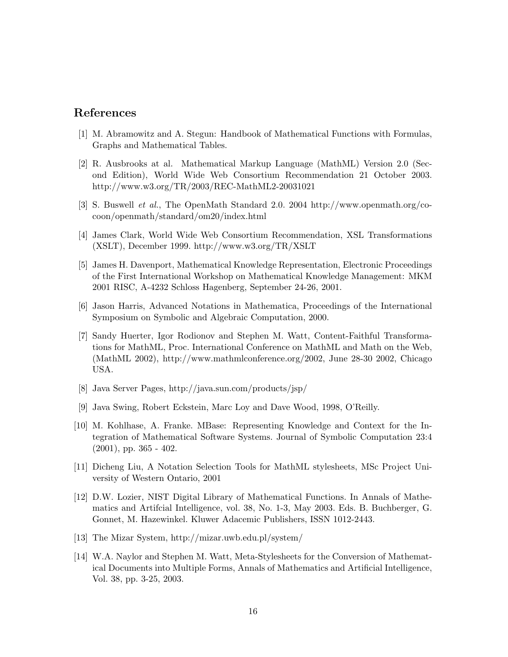### References

- [1] M. Abramowitz and A. Stegun: Handbook of Mathematical Functions with Formulas, Graphs and Mathematical Tables.
- [2] R. Ausbrooks at al. Mathematical Markup Language (MathML) Version 2.0 (Second Edition), World Wide Web Consortium Recommendation 21 October 2003. http://www.w3.org/TR/2003/REC-MathML2-20031021
- [3] S. Buswell et al., The OpenMath Standard 2.0. 2004 http://www.openmath.org/cocoon/openmath/standard/om20/index.html
- [4] James Clark, World Wide Web Consortium Recommendation, XSL Transformations (XSLT), December 1999. http://www.w3.org/TR/XSLT
- [5] James H. Davenport, Mathematical Knowledge Representation, Electronic Proceedings of the First International Workshop on Mathematical Knowledge Management: MKM 2001 RISC, A-4232 Schloss Hagenberg, September 24-26, 2001.
- [6] Jason Harris, Advanced Notations in Mathematica, Proceedings of the International Symposium on Symbolic and Algebraic Computation, 2000.
- [7] Sandy Huerter, Igor Rodionov and Stephen M. Watt, Content-Faithful Transformations for MathML, Proc. International Conference on MathML and Math on the Web, (MathML 2002), http://www.mathmlconference.org/2002, June 28-30 2002, Chicago USA.
- [8] Java Server Pages, http://java.sun.com/products/jsp/
- [9] Java Swing, Robert Eckstein, Marc Loy and Dave Wood, 1998, O'Reilly.
- [10] M. Kohlhase, A. Franke. MBase: Representing Knowledge and Context for the Integration of Mathematical Software Systems. Journal of Symbolic Computation 23:4  $(2001)$ , pp. 365 - 402.
- [11] Dicheng Liu, A Notation Selection Tools for MathML stylesheets, MSc Project University of Western Ontario, 2001
- [12] D.W. Lozier, NIST Digital Library of Mathematical Functions. In Annals of Mathematics and Artifcial Intelligence, vol. 38, No. 1-3, May 2003. Eds. B. Buchberger, G. Gonnet, M. Hazewinkel. Kluwer Adacemic Publishers, ISSN 1012-2443.
- [13] The Mizar System, http://mizar.uwb.edu.pl/system/
- [14] W.A. Naylor and Stephen M. Watt, Meta-Stylesheets for the Conversion of Mathematical Documents into Multiple Forms, Annals of Mathematics and Artificial Intelligence, Vol. 38, pp. 3-25, 2003.